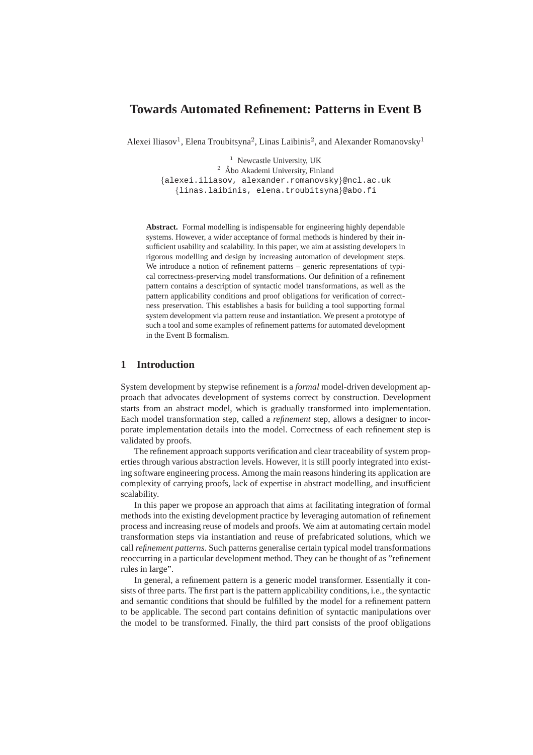# **Towards Automated Refinement: Patterns in Event B**

Alexei Iliasov<sup>1</sup>, Elena Troubitsyna<sup>2</sup>, Linas Laibinis<sup>2</sup>, and Alexander Romanovsky<sup>1</sup>

<sup>1</sup> Newcastle University, UK

 $2$  Åbo Akademi University, Finland {alexei.iliasov, alexander.romanovsky}@ncl.ac.uk {linas.laibinis, elena.troubitsyna}@abo.fi

**Abstract.** Formal modelling is indispensable for engineering highly dependable systems. However, a wider acceptance of formal methods is hindered by their insufficient usability and scalability. In this paper, we aim at assisting developers in rigorous modelling and design by increasing automation of development steps. We introduce a notion of refinement patterns – generic representations of typical correctness-preserving model transformations. Our definition of a refinement pattern contains a description of syntactic model transformations, as well as the pattern applicability conditions and proof obligations for verification of correctness preservation. This establishes a basis for building a tool supporting formal system development via pattern reuse and instantiation. We present a prototype of such a tool and some examples of refinement patterns for automated development in the Event B formalism.

## **1 Introduction**

System development by stepwise refinement is a *formal* model-driven development approach that advocates development of systems correct by construction. Development starts from an abstract model, which is gradually transformed into implementation. Each model transformation step, called a *refinement* step, allows a designer to incorporate implementation details into the model. Correctness of each refinement step is validated by proofs.

The refinement approach supports verification and clear traceability of system properties through various abstraction levels. However, it is still poorly integrated into existing software engineering process. Among the main reasons hindering its application are complexity of carrying proofs, lack of expertise in abstract modelling, and insufficient scalability.

In this paper we propose an approach that aims at facilitating integration of formal methods into the existing development practice by leveraging automation of refinement process and increasing reuse of models and proofs. We aim at automating certain model transformation steps via instantiation and reuse of prefabricated solutions, which we call *refinement patterns*. Such patterns generalise certain typical model transformations reoccurring in a particular development method. They can be thought of as "refinement rules in large".

In general, a refinement pattern is a generic model transformer. Essentially it consists of three parts. The first part is the pattern applicability conditions, i.e., the syntactic and semantic conditions that should be fulfilled by the model for a refinement pattern to be applicable. The second part contains definition of syntactic manipulations over the model to be transformed. Finally, the third part consists of the proof obligations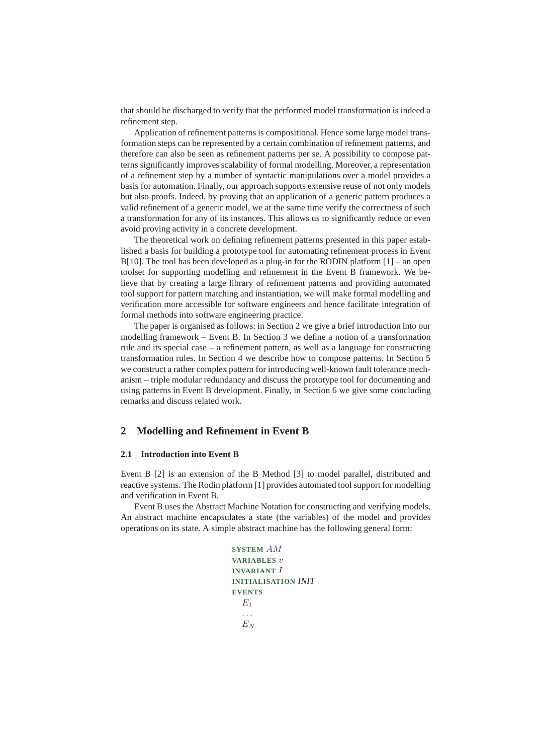that should be discharged to verify that the performed model transformation is indeed a refinement step.

Application of refinement patterns is compositional. Hence some large model transformation steps can be represented by a certain combination of refinement patterns, and therefore can also be seen as refinement patterns per se. A possibility to compose patterns significantly improves scalability of formal modelling. Moreover, a representation of a refinement step by a number of syntactic manipulations over a model provides a basis for automation. Finally, our approach supports extensive reuse of not only models but also proofs. Indeed, by proving that an application of a generic pattern produces a valid refinement of a generic model, we at the same time verify the correctness of such a transformation for any of its instances. This allows us to significantly reduce or even avoid proving activity in a concrete development.

The theoretical work on defining refinement patterns presented in this paper established a basis for building a prototype tool for automating refinement process in Event  $B[10]$ . The tool has been developed as a plug-in for the RODIN platform  $[1]$  – an open toolset for supporting modelling and refinement in the Event B framework. We believe that by creating a large library of refinement patterns and providing automated tool support for pattern matching and instantiation, we will make formal modelling and verification more accessible for software engineers and hence facilitate integration of formal methods into software engineering practice.

The paper is organised as follows: in Section 2 we give a brief introduction into our modelling framework – Event B. In Section 3 we define a notion of a transformation rule and its special case – a refinement pattern, as well as a language for constructing transformation rules. In Section 4 we describe how to compose patterns. In Section 5 we construct a rather complex pattern for introducing well-known fault tolerance mechanism – triple modular redundancy and discuss the prototype tool for documenting and using patterns in Event B development. Finally, in Section 6 we give some concluding remarks and discuss related work.

## **2 Modelling and Refinement in Event B**

### **2.1 Introduction into Event B**

Event B [2] is an extension of the B Method [3] to model parallel, distributed and reactive systems. The Rodin platform [1] provides automated tool support for modelling and verification in Event B.

Event B uses the Abstract Machine Notation for constructing and verifying models. An abstract machine encapsulates a state (the variables) of the model and provides operations on its state. A simple abstract machine has the following general form:

```
SYSTEM AM
VARIABLES v
INVARIANT I
INITIALISATION INIT
EVENTS
  E_1. . .
  E_N
```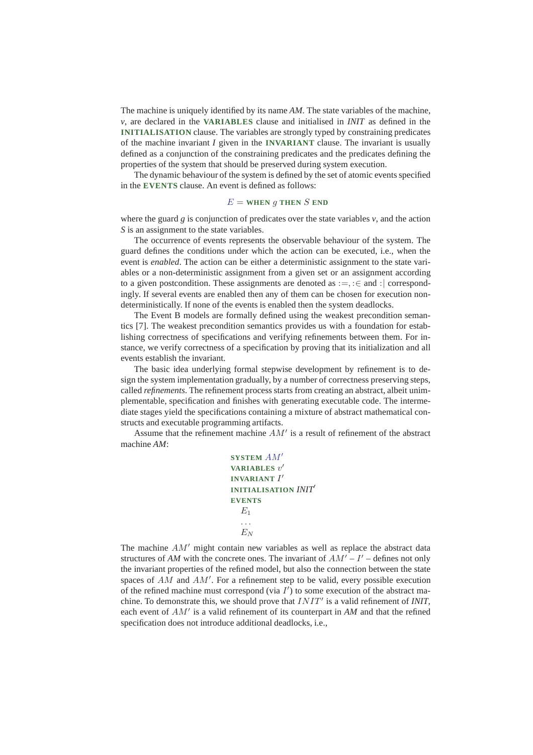The machine is uniquely identified by its name *AM*. The state variables of the machine, *v*, are declared in the **VARIABLES** clause and initialised in *INIT* as defined in the **INITIALISATION** clause. The variables are strongly typed by constraining predicates of the machine invariant *I* given in the **INVARIANT** clause. The invariant is usually defined as a conjunction of the constraining predicates and the predicates defining the properties of the system that should be preserved during system execution.

The dynamic behaviour of the system is defined by the set of atomic events specified in the **EVENTS** clause. An event is defined as follows:

### $E =$ **WHEN** q **THEN** S **END**

where the guard  $g$  is conjunction of predicates over the state variables  $v$ , and the action *S* is an assignment to the state variables.

The occurrence of events represents the observable behaviour of the system. The guard defines the conditions under which the action can be executed, i.e., when the event is *enabled*. The action can be either a deterministic assignment to the state variables or a non-deterministic assignment from a given set or an assignment according to a given postcondition. These assignments are denoted as  $:=, : \in$  and  $:$  correspondingly. If several events are enabled then any of them can be chosen for execution nondeterministically. If none of the events is enabled then the system deadlocks.

The Event B models are formally defined using the weakest precondition semantics [7]. The weakest precondition semantics provides us with a foundation for establishing correctness of specifications and verifying refinements between them. For instance, we verify correctness of a specification by proving that its initialization and all events establish the invariant.

The basic idea underlying formal stepwise development by refinement is to design the system implementation gradually, by a number of correctness preserving steps, called *refinements*. The refinement process starts from creating an abstract, albeit unimplementable, specification and finishes with generating executable code. The intermediate stages yield the specifications containing a mixture of abstract mathematical constructs and executable programming artifacts.

Assume that the refinement machine AM′ is a result of refinement of the abstract machine *AM*:

```
SYSTEM AM′
VARIABLES v
′
INVARIANT I
′
INITIALISATION INIT′
EVENTS
  E<sub>1</sub>. . .
  E_N
```
The machine  $AM'$  might contain new variables as well as replace the abstract data structures of AM with the concrete ones. The invariant of  $AM' - I'$  – defines not only the invariant properties of the refined model, but also the connection between the state spaces of  $AM$  and  $AM'$ . For a refinement step to be valid, every possible execution of the refined machine must correspond (via  $I'$ ) to some execution of the abstract machine. To demonstrate this, we should prove that  $INT'$  is a valid refinement of *INIT*, each event of AM′ is a valid refinement of its counterpart in *AM* and that the refined specification does not introduce additional deadlocks, i.e.,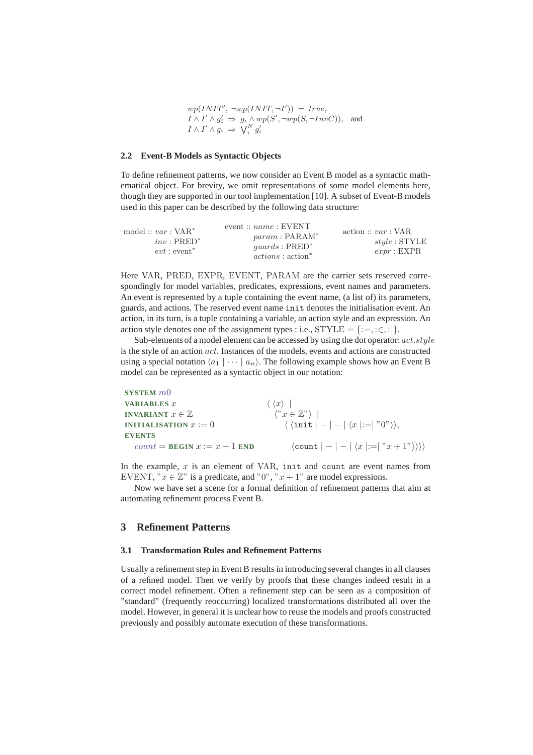$wp(INIT', \neg wp(INIT, \neg I')) = true,$  $I \wedge I' \wedge g_i' \Rightarrow g_i \wedge wp(S', \neg wp(S, \neg InvC)),$  and  $I \wedge I' \wedge g_i \Rightarrow \overline{\bigvee_i^N g_i'}$ 

#### **2.2 Event-B Models as Syntactic Objects**

To define refinement patterns, we now consider an Event B model as a syntactic mathematical object. For brevity, we omit representations of some model elements here, though they are supported in our tool implementation [10]. A subset of Event-B models used in this paper can be described by the following data structure:

| model :: $var : VAR^*$ | event :: $name : EWENT$<br>$param: PARAM^*$ | $\text{action} :: var : \text{VAR}$ |
|------------------------|---------------------------------------------|-------------------------------------|
| $inv:PRED^*$           | $quards : PRED^*$                           | $style:$ STYLE                      |
| $evt: event^*$         | $actions : action^*$                        | expr: EXPR                          |

Here VAR, PRED, EXPR, EVENT, PARAM are the carrier sets reserved correspondingly for model variables, predicates, expressions, event names and parameters. An event is represented by a tuple containing the event name, (a list of) its parameters, guards, and actions. The reserved event name init denotes the initialisation event. An action, in its turn, is a tuple containing a variable, an action style and an expression. An action style denotes one of the assignment types : i.e.,  $STYLE = \{:=, : \in, :|\}$ .

Sub-elements of a model element can be accessed by using the dot operator:  $act.style$ is the style of an action act. Instances of the models, events and actions are constructed using a special notation  $\langle a_1 | \cdots | a_n \rangle$ . The following example shows how an Event B model can be represented as a syntactic object in our notation:

| SYSTEM $m0$                                    |                                                                                                     |
|------------------------------------------------|-----------------------------------------------------------------------------------------------------|
| <b>VARIABLES</b> $x$                           | $\langle \langle x \rangle  $                                                                       |
| <b>INVARIANT</b> $x \in \mathbb{Z}$            | $\langle "x \in \mathbb{Z}" \rangle$                                                                |
| <b>INITIALISATION</b> $x := 0$                 | $\langle \langle \text{init} \rangle - \rangle - \langle x \rangle = \  \langle 0 \rangle \rangle,$ |
| <b>EVENTS</b>                                  |                                                                                                     |
| $count = \text{BEGIN } x := x + 1 \text{ END}$ | $\langle \text{count} \mid - \mid - \mid \langle x \mid :=   "x + 1" \rangle \rangle \rangle$       |

In the example,  $x$  is an element of VAR, init and count are event names from EVENT, " $x \in \mathbb{Z}^n$  is a predicate, and "0", " $x + 1$ " are model expressions.

Now we have set a scene for a formal definition of refinement patterns that aim at automating refinement process Event B.

## **3 Refinement Patterns**

#### **3.1 Transformation Rules and Refinement Patterns**

Usually a refinement step in Event B results in introducing several changes in all clauses of a refined model. Then we verify by proofs that these changes indeed result in a correct model refinement. Often a refinement step can be seen as a composition of "standard" (frequently reoccurring) localized transformations distributed all over the model. However, in general it is unclear how to reuse the models and proofs constructed previously and possibly automate execution of these transformations.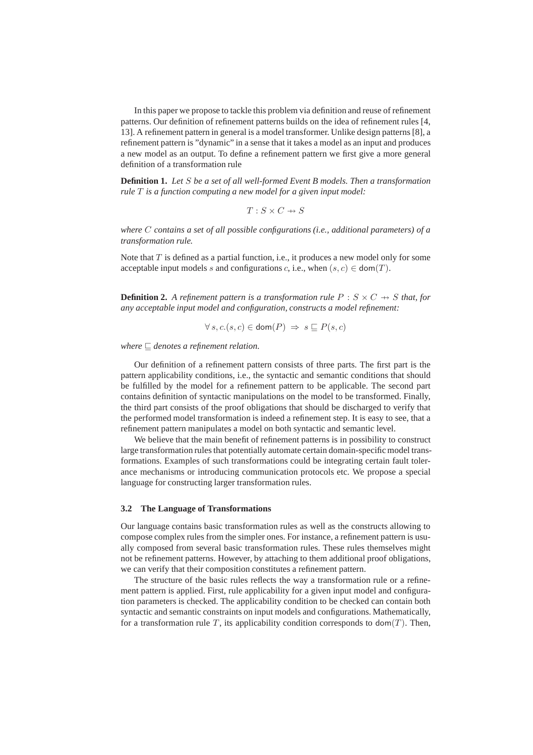In this paper we propose to tackle this problem via definition and reuse of refinement patterns. Our definition of refinement patterns builds on the idea of refinement rules [4, 13]. A refinement pattern in general is a model transformer. Unlike design patterns [8], a refinement pattern is "dynamic" in a sense that it takes a model as an input and produces a new model as an output. To define a refinement pattern we first give a more general definition of a transformation rule

**Definition 1.** *Let* S *be a set of all well-formed Event B models. Then a transformation rule* T *is a function computing a new model for a given input model:*

 $T : S \times C \rightarrow S$ 

*where* C *contains a set of all possible configurations (i.e., additional parameters) of a transformation rule.*

Note that  $T$  is defined as a partial function, i.e., it produces a new model only for some acceptable input models s and configurations c, i.e., when  $(s, c) \in \text{dom}(T)$ .

**Definition 2.** A refinement pattern is a transformation rule  $P : S \times C \rightarrow S$  that, for *any acceptable input model and configuration, constructs a model refinement:*

$$
\forall s, c. (s, c) \in \text{dom}(P) \implies s \sqsubseteq P(s, c)
$$

*where* ⊑ *denotes a refinement relation.*

Our definition of a refinement pattern consists of three parts. The first part is the pattern applicability conditions, i.e., the syntactic and semantic conditions that should be fulfilled by the model for a refinement pattern to be applicable. The second part contains definition of syntactic manipulations on the model to be transformed. Finally, the third part consists of the proof obligations that should be discharged to verify that the performed model transformation is indeed a refinement step. It is easy to see, that a refinement pattern manipulates a model on both syntactic and semantic level.

We believe that the main benefit of refinement patterns is in possibility to construct large transformation rules that potentially automate certain domain-specific model transformations. Examples of such transformations could be integrating certain fault tolerance mechanisms or introducing communication protocols etc. We propose a special language for constructing larger transformation rules.

#### **3.2 The Language of Transformations**

Our language contains basic transformation rules as well as the constructs allowing to compose complex rules from the simpler ones. For instance, a refinement pattern is usually composed from several basic transformation rules. These rules themselves might not be refinement patterns. However, by attaching to them additional proof obligations, we can verify that their composition constitutes a refinement pattern.

The structure of the basic rules reflects the way a transformation rule or a refinement pattern is applied. First, rule applicability for a given input model and configuration parameters is checked. The applicability condition to be checked can contain both syntactic and semantic constraints on input models and configurations. Mathematically, for a transformation rule T, its applicability condition corresponds to dom(T). Then,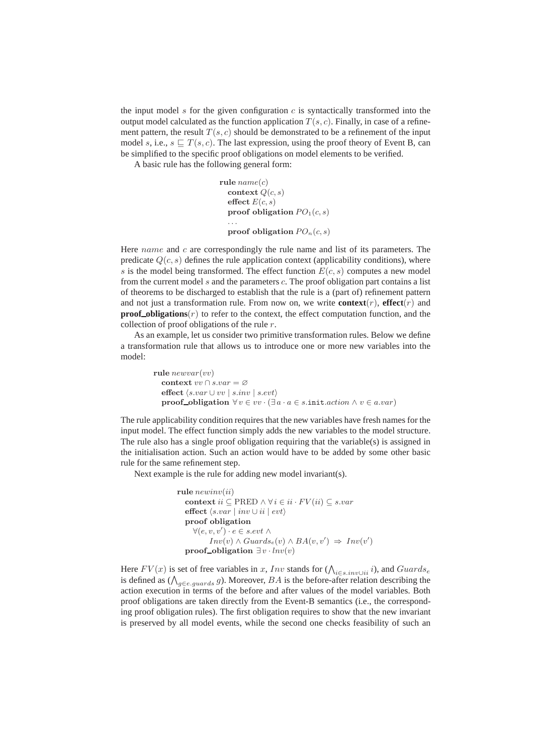the input model s for the given configuration c is syntactically transformed into the output model calculated as the function application  $T(s, c)$ . Finally, in case of a refinement pattern, the result  $T(s, c)$  should be demonstrated to be a refinement of the input model s, i.e.,  $s \sqsubset T(s, c)$ . The last expression, using the proof theory of Event B, can be simplified to the specific proof obligations on model elements to be verified.

A basic rule has the following general form:

```
rule name(c)context Q(c, s)effect E(c, s)proof obligation PO_1(c, s). . .
  proof obligation PO_n(c, s)
```
Here name and  $c$  are correspondingly the rule name and list of its parameters. The predicate  $Q(c, s)$  defines the rule application context (applicability conditions), where s is the model being transformed. The effect function  $E(c, s)$  computes a new model from the current model  $s$  and the parameters  $c$ . The proof obligation part contains a list of theorems to be discharged to establish that the rule is a (part of) refinement pattern and not just a transformation rule. From now on, we write **context** $(r)$ , **effect** $(r)$  and **proof obligations** $(r)$  to refer to the context, the effect computation function, and the collection of proof obligations of the rule r.

As an example, let us consider two primitive transformation rules. Below we define a transformation rule that allows us to introduce one or more new variables into the model:

> rule  $newvar(wv)$ context  $vv \cap s.var = \varnothing$ effect  $\langle s.var \cup vv \mid s.inv \mid s.evt \rangle$ proof\_obligation  $\forall v \in vv \cdot (\exists a \cdot a \in s.\text{init}.action \land v \in a.var)$

The rule applicability condition requires that the new variables have fresh names for the input model. The effect function simply adds the new variables to the model structure. The rule also has a single proof obligation requiring that the variable(s) is assigned in the initialisation action. Such an action would have to be added by some other basic rule for the same refinement step.

Next example is the rule for adding new model invariant(s).

```
rule newinv(ii)context ii \subseteq \text{PRED} \land \forall i \in ii \cdot FV(ii) \subseteq s-vareffect \langle s.var \mid inv \cup ii \mid evt \rangleproof obligation
       \forall (e, v, v') \cdot e \in s.\mathit{evt} \landInv(v) \wedge Guards_e(v) \wedge BA(v, v') \Rightarrow Inv(v')proof_obligation \exists v \cdot \ln v(v)
```
Here  $FV(x)$  is set of free variables in x, Inv stands for  $(\bigwedge_{i \in s. inv \cup ii} i)$ , and  $Guards_e$ is defined as  $(\bigwedge_{g \in e, \text{quards}} g)$ . Moreover,  $BA$  is the before-after relation describing the action execution in terms of the before and after values of the model variables. Both proof obligations are taken directly from the Event-B semantics (i.e., the corresponding proof obligation rules). The first obligation requires to show that the new invariant is preserved by all model events, while the second one checks feasibility of such an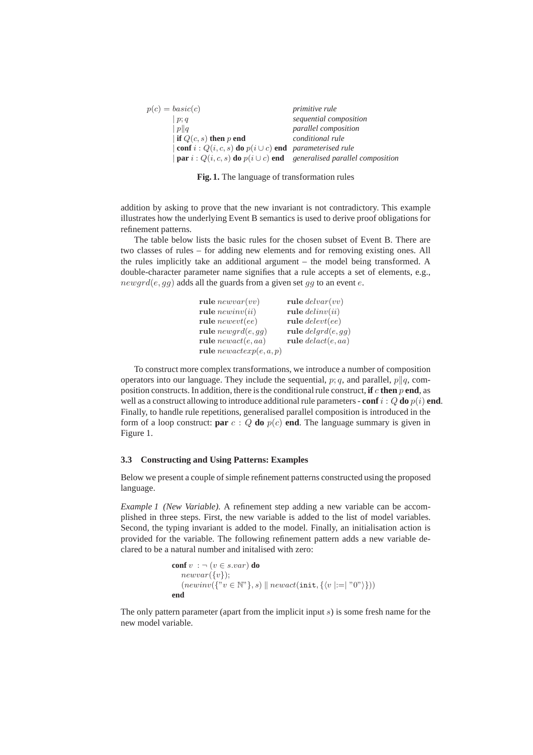| $p(c) = basic(c)$                                                                            | <i>primitive rule</i>       |
|----------------------------------------------------------------------------------------------|-----------------------------|
| p;q                                                                                          | sequential composition      |
| $\ p\ q$                                                                                     | <i>parallel composition</i> |
| if $Q(c, s)$ then p end                                                                      | conditional rule            |
| $  \textbf{conf } i : Q(i, c, s) \textbf{ do } p(i \cup c) \textbf{ end}$ parameterised rule |                             |
| $ $ par $i: Q(i, c, s)$ do $p(i \cup c)$ end generalised parallel composition                |                             |

**Fig. 1.** The language of transformation rules

addition by asking to prove that the new invariant is not contradictory. This example illustrates how the underlying Event B semantics is used to derive proof obligations for refinement patterns.

The table below lists the basic rules for the chosen subset of Event B. There are two classes of rules – for adding new elements and for removing existing ones. All the rules implicitly take an additional argument – the model being transformed. A double-character parameter name signifies that a rule accepts a set of elements, e.g.,  $newgrd(e, qg)$  adds all the guards from a given set gg to an event e.

| rule $newvar(vv)$        | rule $delvar(vv)$    |
|--------------------------|----------------------|
| rule $newinv(ii)$        | rule $delinv(ii)$    |
| rule $newet(ee)$         | rule $delete(te)$    |
| rule $newgrd(e, gg)$     | rule $delayd(e, gg)$ |
| rule $newact(e, aa)$     | rule $delta(e,aa)$   |
| rule $newacker(e, a, p)$ |                      |
|                          |                      |

To construct more complex transformations, we introduce a number of composition operators into our language. They include the sequential,  $p; q$ , and parallel,  $p||q$ , composition constructs. In addition, there is the conditional rule construct, **if** c **then** p **end**, as well as a construct allowing to introduce additional rule parameters - **conf** i :  $Q$  **do**  $p(i)$  **end**. Finally, to handle rule repetitions, generalised parallel composition is introduced in the form of a loop construct: **par**  $c : Q$  **do**  $p(c)$  **end**. The language summary is given in Figure 1.

### **3.3 Constructing and Using Patterns: Examples**

Below we present a couple of simple refinement patterns constructed using the proposed language.

*Example 1 (New Variable).* A refinement step adding a new variable can be accomplished in three steps. First, the new variable is added to the list of model variables. Second, the typing invariant is added to the model. Finally, an initialisation action is provided for the variable. The following refinement pattern adds a new variable declared to be a natural number and initalised with zero:

```
conf v : \neg (v \in s \cdot var) do
             newvar({v}):
              (newinv({\mathcal{C}}' \cup {\mathcal{C}}' \cup {\mathcal{C}}' \cup {\mathcal{C}}' \cup {\mathcal{C}}' \cup {\mathcal{C}}' \cup {\mathcal{C}}' \cup {\mathcal{C}}' \cup {\mathcal{C}}' \cup {\mathcal{C}}' \cup {\mathcal{C}}' \cup {\mathcal{C}}' \cup {\mathcal{C}}' \cup {\mathcal{C}}' \cup {\mathcal{C}}' \cup {\mathcal{C}}' \cup {\mathcal{C}}' \cup {\mathcal{C}}' \cup {\mathcal{C}}' \cup {\mathcal{C}}' \cup {\mathcal{C}}' \cup {\mathcal{C}}' \cup {\mathcal{C}}' \cup {\mathcal{C}}' \cup {\end
```
The only pattern parameter (apart from the implicit input  $s$ ) is some fresh name for the new model variable.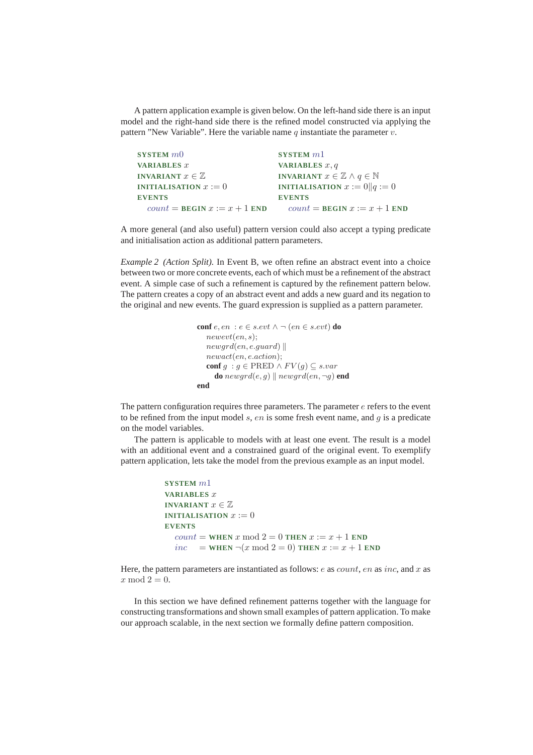A pattern application example is given below. On the left-hand side there is an input model and the right-hand side there is the refined model constructed via applying the pattern "New Variable". Here the variable name  $q$  instantiate the parameter  $v$ .

```
SYSTEM m0
VARIABLES x
INVARIANT x \in \mathbb{Z}INITIALISATION x := 0EVENTS
   count = \text{BEGIN } x := x + 1 \text{ END}SYSTEM m1
                                         VARIABLES x, q
                                         INVARIANT x \in \mathbb{Z} \wedge q \in \mathbb{N}INITIALISATION x := 0||q := 0EVENTS
                                            count = \text{BEGIN } x := x + 1 \text{ END}
```
A more general (and also useful) pattern version could also accept a typing predicate and initialisation action as additional pattern parameters.

*Example 2 (Action Split).* In Event B, we often refine an abstract event into a choice between two or more concrete events, each of which must be a refinement of the abstract event. A simple case of such a refinement is captured by the refinement pattern below. The pattern creates a copy of an abstract event and adds a new guard and its negation to the original and new events. The guard expression is supplied as a pattern parameter.

```
conf e, en : e ∈ s.evt \land \neg (en ∈ s.evt) do
   newevt(en, s);newgrd(en, e.guard)newact(en, e.action);
   conf g : g \in \text{PRED} \land FV(g) \subseteq s-vardo newgrd(e, g) || newgrd(en, \neg g) end
end
```
The pattern configuration requires three parameters. The parameter  $e$  refers to the event to be refined from the input model  $s$ ,  $en$  is some fresh event name, and  $q$  is a predicate on the model variables.

The pattern is applicable to models with at least one event. The result is a model with an additional event and a constrained guard of the original event. To exemplify pattern application, lets take the model from the previous example as an input model.

```
SYSTEM m1
VARIABLES x
INVARIANT x \in \mathbb{Z}INITIALISATION x := 0EVENTS
  count = \text{WHEN } x \text{ mod } 2 = 0 \text{ THEN } x := x + 1 \text{ END}inc = WHEN \neg(x mod 2 = 0) THEN x := x + 1 END
```
Here, the pattern parameters are instantiated as follows:  $e$  as  $count$ ,  $en$  as  $inc$ , and  $x$  as x mod  $2 = 0$ .

In this section we have defined refinement patterns together with the language for constructing transformations and shown small examples of pattern application. To make our approach scalable, in the next section we formally define pattern composition.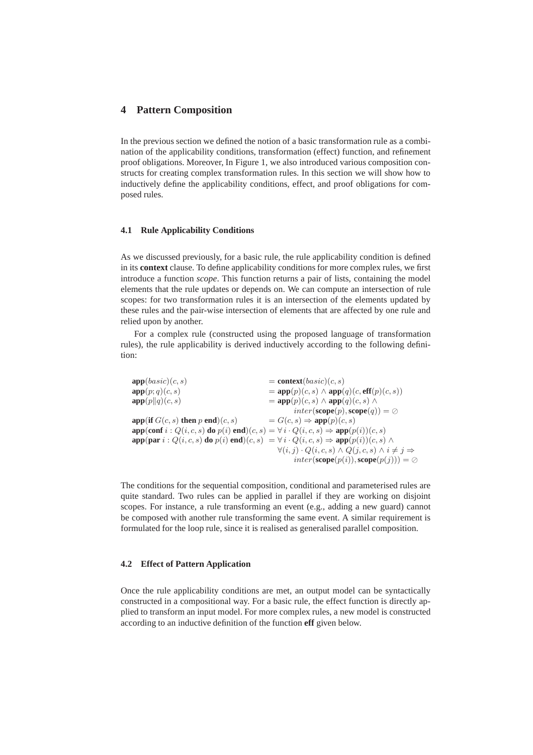## **4 Pattern Composition**

In the previous section we defined the notion of a basic transformation rule as a combination of the applicability conditions, transformation (effect) function, and refinement proof obligations. Moreover, In Figure 1, we also introduced various composition constructs for creating complex transformation rules. In this section we will show how to inductively define the applicability conditions, effect, and proof obligations for composed rules.

#### **4.1 Rule Applicability Conditions**

As we discussed previously, for a basic rule, the rule applicability condition is defined in its **context** clause. To define applicability conditions for more complex rules, we first introduce a function *scope*. This function returns a pair of lists, containing the model elements that the rule updates or depends on. We can compute an intersection of rule scopes: for two transformation rules it is an intersection of the elements updated by these rules and the pair-wise intersection of elements that are affected by one rule and relied upon by another.

For a complex rule (constructed using the proposed language of transformation rules), the rule applicability is derived inductively according to the following definition:

| $=$ context( <i>basic</i> )( <i>c</i> , <i>s</i> )                                                                                        |
|-------------------------------------------------------------------------------------------------------------------------------------------|
| $= \text{app}(p)(c, s) \wedge \text{app}(q)(c, \text{eff}(p)(c, s))$                                                                      |
| $=$ app $(p)(c, s) \wedge$ app $(q)(c, s) \wedge$                                                                                         |
| $inter(\mathbf{scope}(p), \mathbf{scope}(q)) = \oslash$                                                                                   |
| $= G(c, s) \Rightarrow \text{app}(p)(c, s)$                                                                                               |
| $app($ conf $i: Q(i, c, s)$ do $p(i)$ end $)(c, s) = \forall i \cdot Q(i, c, s) \Rightarrow app(p(i))(c, s)$                              |
| $app(\textbf{par } i: Q(i, c, s) \textbf{ do } p(i) \textbf{ end})(c, s) = \forall i \cdot Q(i, c, s) \Rightarrow app(p(i))(c, s) \wedge$ |
| $\forall (i, j) \cdot Q(i, c, s) \land Q(j, c, s) \land i \neq j \Rightarrow$                                                             |
| $inter(\mathbf{scope}(p(i)), \mathbf{scope}(p(j))) = \oslash$                                                                             |
|                                                                                                                                           |

The conditions for the sequential composition, conditional and parameterised rules are quite standard. Two rules can be applied in parallel if they are working on disjoint scopes. For instance, a rule transforming an event (e.g., adding a new guard) cannot be composed with another rule transforming the same event. A similar requirement is formulated for the loop rule, since it is realised as generalised parallel composition.

## **4.2 Effect of Pattern Application**

Once the rule applicability conditions are met, an output model can be syntactically constructed in a compositional way. For a basic rule, the effect function is directly applied to transform an input model. For more complex rules, a new model is constructed according to an inductive definition of the function **eff** given below.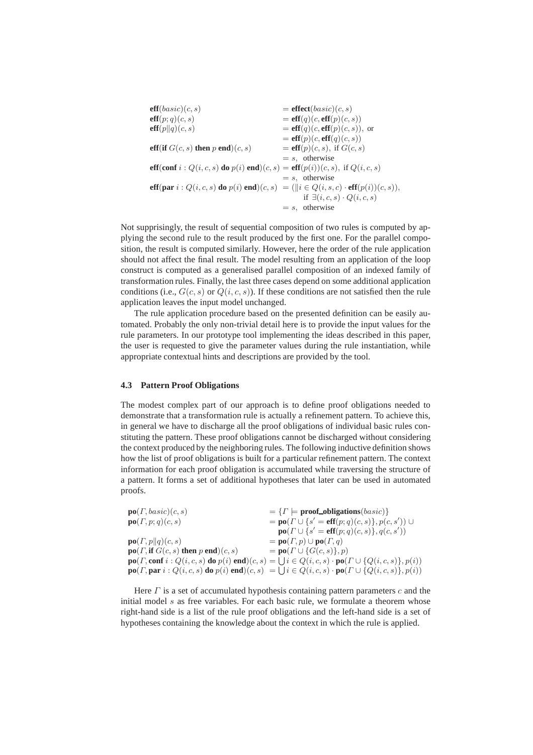| $\textbf{eff}(basic)(c, s)$                                                                          | $=$ effect(basic)(c, s)                 |
|------------------------------------------------------------------------------------------------------|-----------------------------------------|
| $\textbf{eff}(p;q)(c,s)$                                                                             | $=$ eff $(q)(c,$ eff $(p)(c, s))$       |
| $\textbf{eff}(p  q)(c,s)$                                                                            | $=$ eff $(q)(c,$ eff $(p)(c, s)$ , or   |
|                                                                                                      | $=$ eff $(p)(c,$ eff $(q)(c, s))$       |
| eff(if $G(c, s)$ then p end)(c, s)                                                                   | $=$ eff(p)(c, s), if $G(c, s)$          |
|                                                                                                      | $= s$ , otherwise                       |
| eff(conf $i: Q(i, c, s)$ do $p(i)$ end) $(c, s)$ = eff $(p(i))(c, s)$ , if $Q(i, c, s)$              |                                         |
|                                                                                                      | $= s$ , otherwise                       |
| eff(par $i: Q(i, c, s)$ do $p(i)$ end) $(c, s) = (  i \in Q(i, s, c) \cdot \text{eff}(p(i))(c, s)),$ |                                         |
|                                                                                                      | if $\exists (i, c, s) \cdot Q(i, c, s)$ |
|                                                                                                      | $= s$ , otherwise                       |

Not supprisingly, the result of sequential composition of two rules is computed by applying the second rule to the result produced by the first one. For the parallel composition, the result is computed similarly. However, here the order of the rule application should not affect the final result. The model resulting from an application of the loop construct is computed as a generalised parallel composition of an indexed family of transformation rules. Finally, the last three cases depend on some additional application conditions (i.e.,  $G(c, s)$  or  $Q(i, c, s)$ ). If these conditions are not satisfied then the rule application leaves the input model unchanged.

The rule application procedure based on the presented definition can be easily automated. Probably the only non-trivial detail here is to provide the input values for the rule parameters. In our prototype tool implementing the ideas described in this paper, the user is requested to give the parameter values during the rule instantiation, while appropriate contextual hints and descriptions are provided by the tool.

#### **4.3 Pattern Proof Obligations**

The modest complex part of our approach is to define proof obligations needed to demonstrate that a transformation rule is actually a refinement pattern. To achieve this, in general we have to discharge all the proof obligations of individual basic rules constituting the pattern. These proof obligations cannot be discharged without considering the context produced by the neighboring rules. The following inductive definition shows how the list of proof obligations is built for a particular refinement pattern. The context information for each proof obligation is accumulated while traversing the structure of a pattern. It forms a set of additional hypotheses that later can be used in automated proofs.

| $\mathbf{po}(\Gamma, basic)(c, s)$                                          | $=\{ \Gamma \models \textbf{proof\_obligations}(basic) \}$                                                                                                                      |
|-----------------------------------------------------------------------------|---------------------------------------------------------------------------------------------------------------------------------------------------------------------------------|
| $\mathbf{po}(T,p;q)(c,s)$                                                   | $=$ <b>po</b> $(\Gamma \cup \{s' = \text{eff}(p; q)(c, s)\}, p(c, s'))$                                                                                                         |
|                                                                             | $\mathbf{po}(\Gamma \cup \{s' = \mathbf{eff}(p; q)(c, s)\}, q(c, s'))$                                                                                                          |
| $\mathbf{po}(T,p  q)(c,s)$                                                  | $=$ po( $\Gamma$ , $p$ ) $\cup$ po( $\Gamma$ , $q$ )                                                                                                                            |
| $\mathbf{po}(\Gamma, \text{if } G(c, s) \text{ then } p \text{ end})(c, s)$ | $= \textbf{po}(\Gamma \cup \{G(c, s)\}, p)$                                                                                                                                     |
|                                                                             | $\mathbf{p}\mathbf{o}(T,\mathbf{conf}\,i:Q(i,c,s)\,\mathbf{do}\,p(i)\,\mathbf{end})(c,s)=\bigcup i\in Q(i,c,s)\cdot\mathbf{p}\mathbf{o}(T\cup\{Q(i,c,s)\},p(i))$                |
|                                                                             | $\mathbf{p}\mathbf{o}(I, \mathbf{par} i: Q(i, c, s) \mathbf{ do } p(i) \mathbf{ end})(c, s) = \bigcup i \in Q(i, c, s) \cdot \mathbf{p}\mathbf{o}(I \cup \{Q(i, c, s)\}, p(i))$ |

Here  $\Gamma$  is a set of accumulated hypothesis containing pattern parameters  $c$  and the initial model  $s$  as free variables. For each basic rule, we formulate a theorem whose right-hand side is a list of the rule proof obligations and the left-hand side is a set of hypotheses containing the knowledge about the context in which the rule is applied.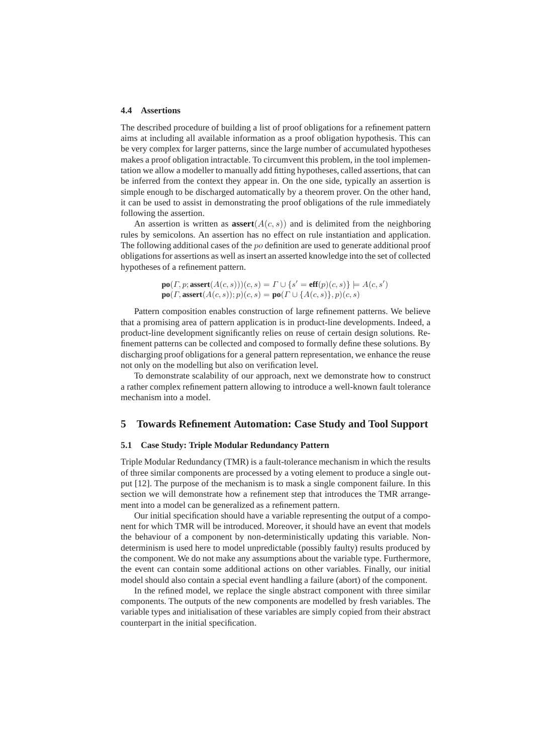#### **4.4 Assertions**

The described procedure of building a list of proof obligations for a refinement pattern aims at including all available information as a proof obligation hypothesis. This can be very complex for larger patterns, since the large number of accumulated hypotheses makes a proof obligation intractable. To circumvent this problem, in the tool implementation we allow a modeller to manually add fitting hypotheses, called assertions, that can be inferred from the context they appear in. On the one side, typically an assertion is simple enough to be discharged automatically by a theorem prover. On the other hand, it can be used to assist in demonstrating the proof obligations of the rule immediately following the assertion.

An assertion is written as  $\operatorname{assert}(A(c, s))$  and is delimited from the neighboring rules by semicolons. An assertion has no effect on rule instantiation and application. The following additional cases of the  $po$  definition are used to generate additional proof obligations for assertions as well as insert an asserted knowledge into the set of collected hypotheses of a refinement pattern.

$$
\mathbf{po}(\varGamma,p;\mathbf{assert}(A(c,s)))(c,s) = \varGamma \cup \{s' = \mathbf{eff}(p)(c,s)\} \models A(c,s')\ \mathbf{po}(\varGamma,\mathbf{assert}(A(c,s));p)(c,s) = \mathbf{po}(\varGamma \cup \{A(c,s)\},p)(c,s)
$$

Pattern composition enables construction of large refinement patterns. We believe that a promising area of pattern application is in product-line developments. Indeed, a product-line development significantly relies on reuse of certain design solutions. Refinement patterns can be collected and composed to formally define these solutions. By discharging proof obligations for a general pattern representation, we enhance the reuse not only on the modelling but also on verification level.

To demonstrate scalability of our approach, next we demonstrate how to construct a rather complex refinement pattern allowing to introduce a well-known fault tolerance mechanism into a model.

## **5 Towards Refinement Automation: Case Study and Tool Support**

### **5.1 Case Study: Triple Modular Redundancy Pattern**

Triple Modular Redundancy (TMR) is a fault-tolerance mechanism in which the results of three similar components are processed by a voting element to produce a single output [12]. The purpose of the mechanism is to mask a single component failure. In this section we will demonstrate how a refinement step that introduces the TMR arrangement into a model can be generalized as a refinement pattern.

Our initial specification should have a variable representing the output of a component for which TMR will be introduced. Moreover, it should have an event that models the behaviour of a component by non-deterministically updating this variable. Nondeterminism is used here to model unpredictable (possibly faulty) results produced by the component. We do not make any assumptions about the variable type. Furthermore, the event can contain some additional actions on other variables. Finally, our initial model should also contain a special event handling a failure (abort) of the component.

In the refined model, we replace the single abstract component with three similar components. The outputs of the new components are modelled by fresh variables. The variable types and initialisation of these variables are simply copied from their abstract counterpart in the initial specification.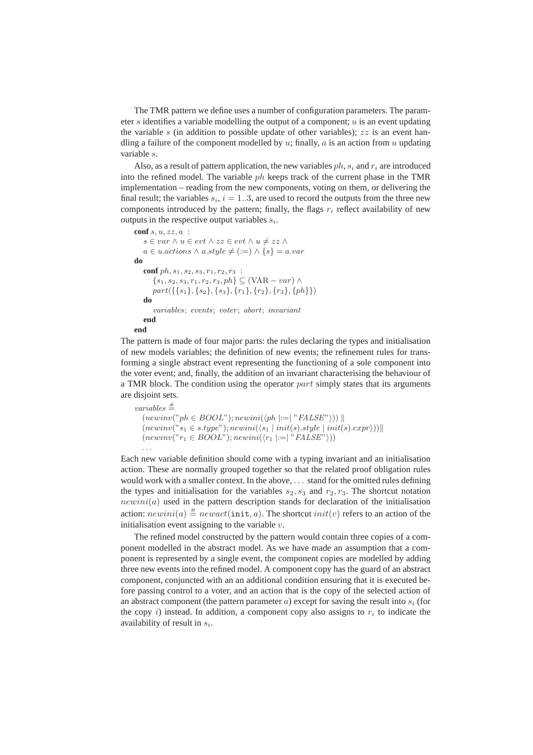The TMR pattern we define uses a number of configuration parameters. The parameter s identifies a variable modelling the output of a component;  $u$  is an event updating the variable s (in addition to possible update of other variables);  $zz$  is an event handling a failure of the component modelled by  $u$ ; finally,  $a$  is an action from  $u$  updating variable s.

Also, as a result of pattern application, the new variables  $ph$ ,  $s_i$  and  $r_i$  are introduced into the refined model. The variable  $ph$  keeps track of the current phase in the TMR implementation – reading from the new components, voting on them, or delivering the final result; the variables  $s_i$ ,  $i = 1..3$ , are used to record the outputs from the three new components introduced by the pattern; finally, the flags  $r_i$  reflect availability of new outputs in the respective output variables  $s_i$ .

```
conf s, u, zz, a :
   s \in var \land u \in evt \land zz \in evt \land u \neq zz \landa \in u. actions \land a. style \neq (:=) \land \{s\} = a. vardo
   conf ph, s_1, s_2, s_3, r_1, r_2, r_3:
       {s_1, s_2, s_3, r_1, r_2, r_3, ph} \subseteq (VAR - var) \wedgepart({\{s_1\},\{s_2\},\{s_3\},\{r_1\},\{r_2\},\{r_3\},\{ph\}})do
       variables: events: voter: abort: invariantend
end
```
The pattern is made of four major parts: the rules declaring the types and initialisation of new models variables; the definition of new events; the refinement rules for transforming a single abstract event representing the functioning of a sole component into the voter event; and, finally, the addition of an invariant characterising the behaviour of a TMR block. The condition using the operator  $part$  simply states that its arguments are disjoint sets.

```
variables \stackrel{\text{df}}{=}(newinv("ph \in BOOL"); newini(\langle ph | := | "FALSE" \rangle)(newinv("s_1 \in style="color: red;">s.type"); newini({s_1 | init(s).style | init(s).expr})(newinv("r_1 \in BOOL"); newini(\langle r_1 | := | "FALSE" \rangle))
  . . .
```
Each new variable definition should come with a typing invariant and an initialisation action. These are normally grouped together so that the related proof obligation rules would work with a smaller context. In the above, . . . stand for the omitted rules defining the types and initialisation for the variables  $s_2, s_3$  and  $r_2, r_3$ . The shortcut notation  $newini(a)$  used in the pattern description stands for declaration of the initialisation action:  $newini(a) \stackrel{\text{df}}{=} newact(\text{init}, a)$ . The shortcut  $init(v)$  refers to an action of the initialisation event assigning to the variable  $v$ .

The refined model constructed by the pattern would contain three copies of a component modelled in the abstract model. As we have made an assumption that a component is represented by a single event, the component copies are modelled by adding three new events into the refined model. A component copy has the guard of an abstract component, conjuncted with an an additional condition ensuring that it is executed before passing control to a voter, and an action that is the copy of the selected action of an abstract component (the pattern parameter  $a$ ) except for saving the result into  $s_i$  (for the copy  $i$ ) instead. In addition, a component copy also assigns to  $r_i$  to indicate the availability of result in  $s_i$ .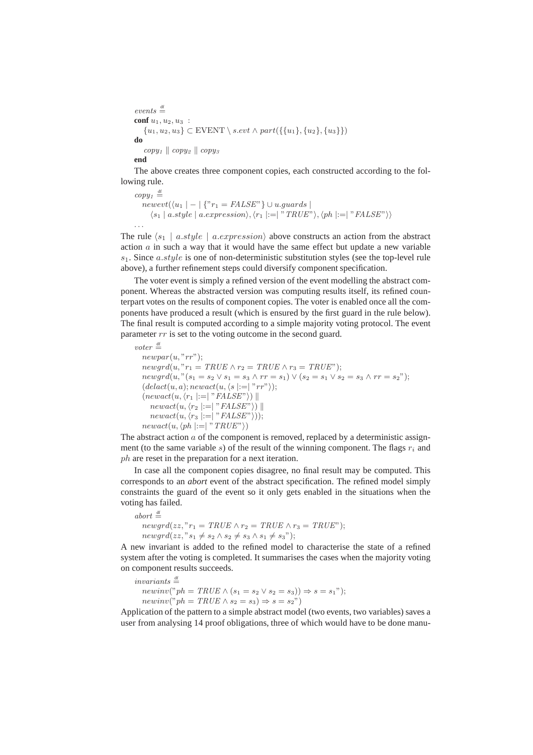```
events \stackrel{\text{df}}{=}conf u_1, u_2, u_3 :
    \{u_1, u_2, u_3\} \subset \text{EVENT} \setminus s.\text{evt} \land \text{part}(\{\{u_1\}, \{u_2\}, \{u_3\}\})do
     copy_1 \parallel copy_2 \parallel copy_3end
```
The above creates three component copies, each constructed according to the following rule.

```
copy_1 \stackrel{\text{df}}{=}newet(\langle u_1 | - | \{ {}^{\prime\prime}r_1 = FALSE^{\prime\prime} \} \cup u.guards | )\langle s_1 | a.style | a.expression \rangle, \langle r_1 |:=| "TRUE" \rangle, \langle ph |:=| "FALSE" \rangle
```
The rule  $\langle s_1 | a.style | a.expression \rangle$  above constructs an action from the abstract action  $\alpha$  in such a way that it would have the same effect but update a new variable  $s_1$ . Since a.style is one of non-deterministic substitution styles (see the top-level rule above), a further refinement steps could diversify component specification.

The voter event is simply a refined version of the event modelling the abstract component. Whereas the abstracted version was computing results itself, its refined counterpart votes on the results of component copies. The voter is enabled once all the components have produced a result (which is ensured by the first guard in the rule below). The final result is computed according to a simple majority voting protocol. The event parameter  $rr$  is set to the voting outcome in the second guard.

```
voter \stackrel{\text{df}}{=}newpar(u, "rr");
   newgrd(u, "r_1 = TRUE \wedge r_2 = TRUE \wedge r_3 = TRUE");newgrd(u, "(s_1 = s_2 \vee s_1 = s_3 \wedge rr = s_1) \vee (s_2 = s_1 \vee s_2 = s_3 \wedge rr = s_2");(delact(u, a); newact(u, \langle s | := | "rr" \rangle);(newact(u, \langle r_1 | := | "FALSE"\rangle)newact(u, \langle r_2 | := | "FALSE" \rangle)newact(u, \langle r_3 | := | "FALSE"\rangle));newact(u, \langle ph | := | "TRUE"\rangle)
```
The abstract action  $a$  of the component is removed, replaced by a deterministic assignment (to the same variable s) of the result of the winning component. The flags  $r_i$  and ph are reset in the preparation for a next iteration.

In case all the component copies disagree, no final result may be computed. This corresponds to an *abort* event of the abstract specification. The refined model simply constraints the guard of the event so it only gets enabled in the situations when the voting has failed.

```
abort \stackrel{\text{df}}{=}newqrd(zz, "r_1 = TRUE \wedge r_2 = TRUE \wedge r_3 = TRUE");newqrd(zz, "s_1 \neq s_2 \land s_2 \neq s_3 \land s_1 \neq s_3");
```
A new invariant is added to the refined model to characterise the state of a refined system after the voting is completed. It summarises the cases when the majority voting on component results succeeds.

```
invariants \stackrel{\text{df}}{=}newinv("ph = TRUE \wedge (s_1 = s_2 \vee s_2 = s_3)) \Rightarrow s = s_1");
   newinv("ph = TRUE \wedge s_2 = s_3) \Rightarrow s = s_2"
```
Application of the pattern to a simple abstract model (two events, two variables) saves a user from analysing 14 proof obligations, three of which would have to be done manu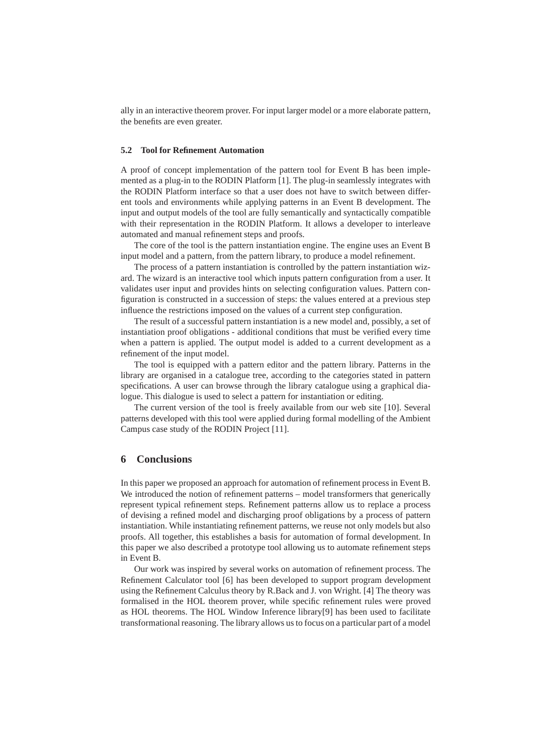ally in an interactive theorem prover. For input larger model or a more elaborate pattern, the benefits are even greater.

#### **5.2 Tool for Refinement Automation**

A proof of concept implementation of the pattern tool for Event B has been implemented as a plug-in to the RODIN Platform [1]. The plug-in seamlessly integrates with the RODIN Platform interface so that a user does not have to switch between different tools and environments while applying patterns in an Event B development. The input and output models of the tool are fully semantically and syntactically compatible with their representation in the RODIN Platform. It allows a developer to interleave automated and manual refinement steps and proofs.

The core of the tool is the pattern instantiation engine. The engine uses an Event B input model and a pattern, from the pattern library, to produce a model refinement.

The process of a pattern instantiation is controlled by the pattern instantiation wizard. The wizard is an interactive tool which inputs pattern configuration from a user. It validates user input and provides hints on selecting configuration values. Pattern configuration is constructed in a succession of steps: the values entered at a previous step influence the restrictions imposed on the values of a current step configuration.

The result of a successful pattern instantiation is a new model and, possibly, a set of instantiation proof obligations - additional conditions that must be verified every time when a pattern is applied. The output model is added to a current development as a refinement of the input model.

The tool is equipped with a pattern editor and the pattern library. Patterns in the library are organised in a catalogue tree, according to the categories stated in pattern specifications. A user can browse through the library catalogue using a graphical dialogue. This dialogue is used to select a pattern for instantiation or editing.

The current version of the tool is freely available from our web site [10]. Several patterns developed with this tool were applied during formal modelling of the Ambient Campus case study of the RODIN Project [11].

## **6 Conclusions**

In this paper we proposed an approach for automation of refinement process in Event B. We introduced the notion of refinement patterns – model transformers that generically represent typical refinement steps. Refinement patterns allow us to replace a process of devising a refined model and discharging proof obligations by a process of pattern instantiation. While instantiating refinement patterns, we reuse not only models but also proofs. All together, this establishes a basis for automation of formal development. In this paper we also described a prototype tool allowing us to automate refinement steps in Event B.

Our work was inspired by several works on automation of refinement process. The Refinement Calculator tool [6] has been developed to support program development using the Refinement Calculus theory by R.Back and J. von Wright. [4] The theory was formalised in the HOL theorem prover, while specific refinement rules were proved as HOL theorems. The HOL Window Inference library[9] has been used to facilitate transformational reasoning. The library allows us to focus on a particular part of a model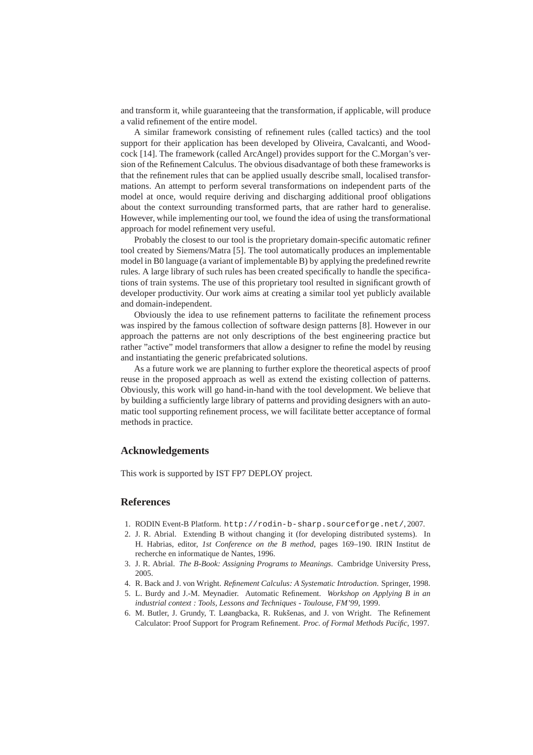and transform it, while guaranteeing that the transformation, if applicable, will produce a valid refinement of the entire model.

A similar framework consisting of refinement rules (called tactics) and the tool support for their application has been developed by Oliveira, Cavalcanti, and Woodcock [14]. The framework (called ArcAngel) provides support for the C.Morgan's version of the Refinement Calculus. The obvious disadvantage of both these frameworks is that the refinement rules that can be applied usually describe small, localised transformations. An attempt to perform several transformations on independent parts of the model at once, would require deriving and discharging additional proof obligations about the context surrounding transformed parts, that are rather hard to generalise. However, while implementing our tool, we found the idea of using the transformational approach for model refinement very useful.

Probably the closest to our tool is the proprietary domain-specific automatic refiner tool created by Siemens/Matra [5]. The tool automatically produces an implementable model in B0 language (a variant of implementable B) by applying the predefined rewrite rules. A large library of such rules has been created specifically to handle the specifications of train systems. The use of this proprietary tool resulted in significant growth of developer productivity. Our work aims at creating a similar tool yet publicly available and domain-independent.

Obviously the idea to use refinement patterns to facilitate the refinement process was inspired by the famous collection of software design patterns [8]. However in our approach the patterns are not only descriptions of the best engineering practice but rather "active" model transformers that allow a designer to refine the model by reusing and instantiating the generic prefabricated solutions.

As a future work we are planning to further explore the theoretical aspects of proof reuse in the proposed approach as well as extend the existing collection of patterns. Obviously, this work will go hand-in-hand with the tool development. We believe that by building a sufficiently large library of patterns and providing designers with an automatic tool supporting refinement process, we will facilitate better acceptance of formal methods in practice.

## **Acknowledgements**

This work is supported by IST FP7 DEPLOY project.

### **References**

- 1. RODIN Event-B Platform. http://rodin-b-sharp.sourceforge.net/, 2007.
- 2. J. R. Abrial. Extending B without changing it (for developing distributed systems). In H. Habrias, editor, *1st Conference on the B method*, pages 169–190. IRIN Institut de recherche en informatique de Nantes, 1996.
- 3. J. R. Abrial. *The B-Book: Assigning Programs to Meanings*. Cambridge University Press, 2005.
- 4. R. Back and J. von Wright. *Refinement Calculus: A Systematic Introduction*. Springer, 1998.
- 5. L. Burdy and J.-M. Meynadier. Automatic Refinement. *Workshop on Applying B in an industrial context : Tools, Lessons and Techniques - Toulouse, FM'99*, 1999.
- 6. M. Butler, J. Grundy, T. Løangbacka, R. Rukˇsenas, and J. von Wright. The Refinement Calculator: Proof Support for Program Refinement. *Proc. of Formal Methods Pacific*, 1997.